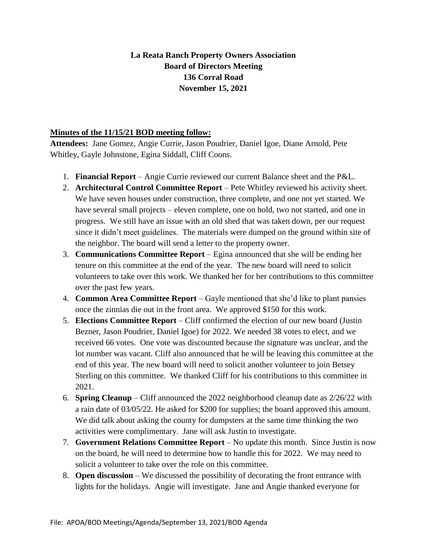## **La Reata Ranch Property Owners Association Board of Directors Meeting 136 Corral Road November 15, 2021**

## **Minutes of the 11/15/21 BOD meeting follow:**

**Attendees:** Jane Gomez, Angie Currie, Jason Poudrier, Daniel Igoe, Diane Arnold, Pete Whitley, Gayle Johnstone, Egina Siddall, Cliff Coons.

- 1. **Financial Report** Angie Currie reviewed our current Balance sheet and the P&L.
- 2. **Architectural Control Committee Report** Pete Whitley reviewed his activity sheet. We have seven houses under construction, three complete, and one not yet started. We have several small projects – eleven complete, one on hold, two not started, and one in progress. We still have an issue with an old shed that was taken down, per our request since it didn't meet guidelines. The materials were dumped on the ground within site of the neighbor. The board will send a letter to the property owner.
- 3. **Communications Committee Report** Egina announced that she will be ending her tenure on this committee at the end of the year. The new board will need to solicit volunteers to take over this work. We thanked her for her contributions to this committee over the past few years.
- 4. **Common Area Committee Report** Gayle mentioned that she'd like to plant pansies once the zinnias die out in the front area. We approved \$150 for this work.
- 5. **Elections Committee Report** Cliff confirmed the election of our new board (Justin Bezner, Jason Poudrier, Daniel Igoe) for 2022. We needed 38 votes to elect, and we received 66 votes. One vote was discounted because the signature was unclear, and the lot number was vacant. Cliff also announced that he will be leaving this committee at the end of this year. The new board will need to solicit another volunteer to join Betsey Sterling on this committee. We thanked Cliff for his contributions to this committee in 2021.
- 6. **Spring Cleanup**  Cliff announced the 2022 neighborhood cleanup date as 2/26/22 with a rain date of 03/05/22. He asked for \$200 for supplies; the board approved this amount. We did talk about asking the county for dumpsters at the same time thinking the two activities were complimentary. Jane will ask Justin to investigate.
- 7. **Government Relations Committee Report** No update this month. Since Justin is now on the board, he will need to determine how to handle this for 2022. We may need to solicit a volunteer to take over the role on this committee.
- 8. **Open discussion** We discussed the possibility of decorating the front entrance with lights for the holidays. Angie will investigate. Jane and Angie thanked everyone for